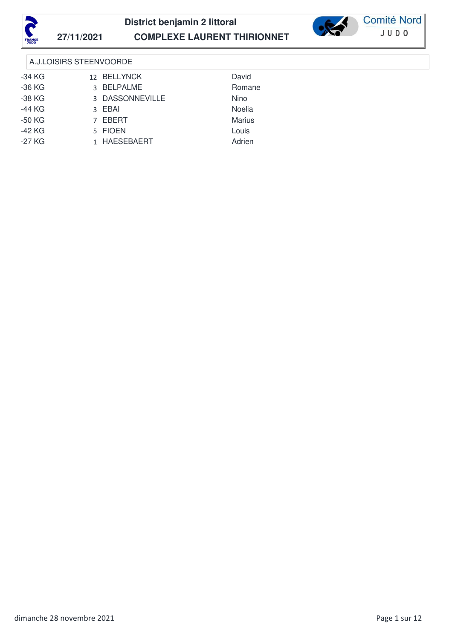



## A.J.LOISIRS STEENVOORDE

| $-34$ KG | 12 BELLYNCK     | David         |  |
|----------|-----------------|---------------|--|
| $-36$ KG | 3 BELPALME      | Romane        |  |
| $-38$ KG | 3 DASSONNEVILLE | Nino          |  |
| $-44$ KG | 3 EBAI          | Noelia        |  |
| $-50$ KG | 7 EBERT         | <b>Marius</b> |  |
| $-42$ KG | 5 FIOEN         | Louis         |  |
| $-27$ KG | 1 HAESEBAERT    | Adrien        |  |
|          |                 |               |  |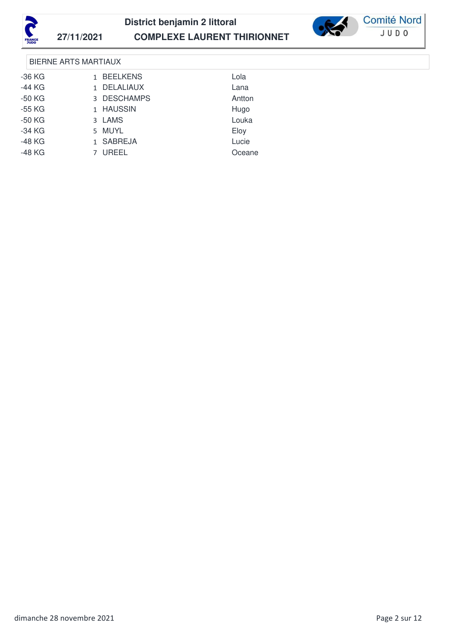



**Comité Nord** JUD0

### BIERNE ARTS MARTIAUX

| -36 KG   | 1 BEELKENS  | Lola   |
|----------|-------------|--------|
| $-44$ KG | 1 DELALIAUX | Lana   |
| $-50$ KG | 3 DESCHAMPS | Antton |
| -55 KG   | 1 HAUSSIN   | Hugo   |
| -50 KG   | 3 LAMS      | Louka  |
| -34 KG   | 5 MUYL      | Eloy   |
| -48 KG   | 1 SABREJA   | Lucie  |
| $-48$ KG | 7 UREEL     | Oceane |
|          |             |        |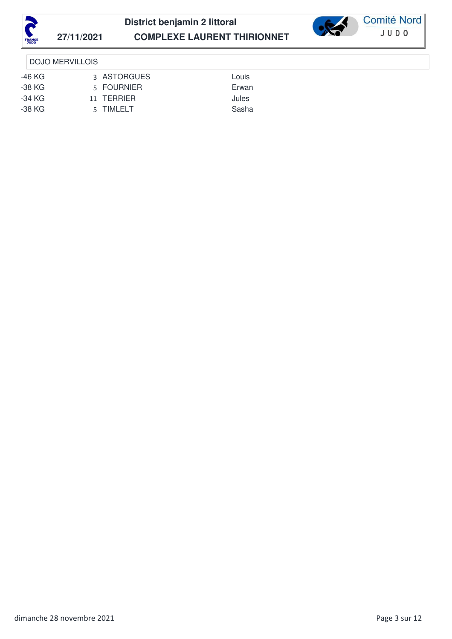



**Comité Nord** JUD0

### DOJO MERVILLOIS

- -46 KG 3 ASTORGUES Louis
- 
- 
- 
- -38 KG 5 FOURNIER Erwan -34 KG 11 TERRIER Jules
- -38 KG 5 TIMLELT Sasha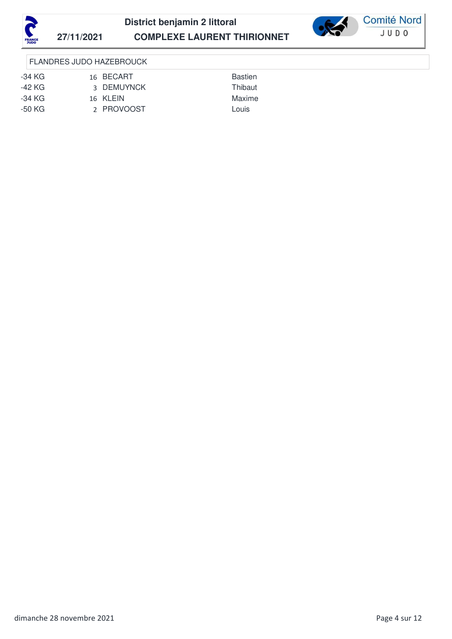



FLANDRES JUDO HAZEBROUCK

- -34 KG 16 BECART Bastien
- -42 KG 3 DEMUYNCK Thibaut
- -34 KG 16 KLEIN Maxime
- -50 KG 2 PROVOOST Louis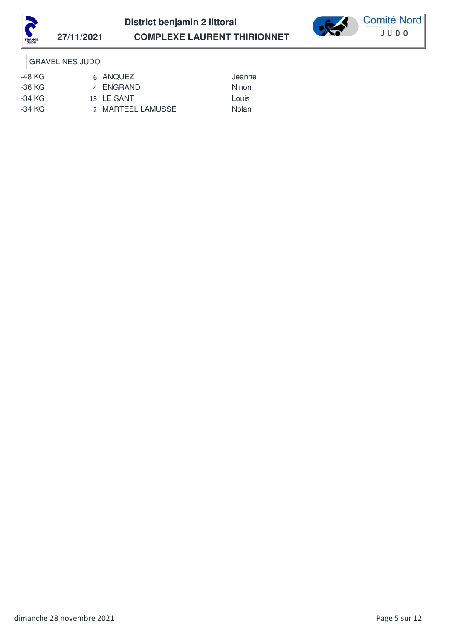



### GRAVELINES JUDO

- -48 KG 6 ANQUEZ Jeanne
- 
- -36 KG 4 ENGRAND Ninon
- -34 KG 13 LE SANT Louis
- -34 KG 2 MARTEEL LAMUSSE Nolan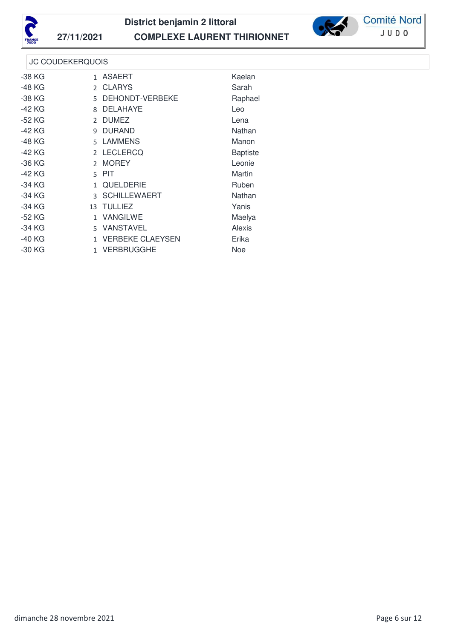



**Comité Nord** JUDO

## JC COUDEKERQUOIS

| $-38$ KG |              | 1 ASAERT                | Kaelan          |  |
|----------|--------------|-------------------------|-----------------|--|
| -48 KG   |              | 2 CLARYS                | Sarah           |  |
| $-38$ KG | 5.           | DEHONDT-VERBEKE         | Raphael         |  |
| $-42$ KG | 8            | <b>DELAHAYE</b>         | Leo             |  |
| -52 KG   |              | 2 DUMEZ                 | Lena            |  |
| -42 KG   |              | 9 DURAND                | Nathan          |  |
| -48 KG   |              | 5 LAMMENS               | Manon           |  |
| -42 KG   |              | 2 LECLERCQ              | <b>Baptiste</b> |  |
| $-36$ KG |              | 2 MOREY                 | Leonie          |  |
| -42 KG   |              | 5 PIT                   | Martin          |  |
| $-34$ KG | $\mathbf{1}$ | QUELDERIE               | Ruben           |  |
| -34 KG   |              | 3 SCHILLEWAERT          | Nathan          |  |
| -34 KG   |              | 13 TULLIEZ              | Yanis           |  |
| $-52$ KG | $\mathbf{1}$ | <b>VANGILWE</b>         | Maelya          |  |
| -34 KG   | 5.           | <b>VANSTAVEL</b>        | Alexis          |  |
| $-40$ KG | $\mathbf{1}$ | <b>VERBEKE CLAEYSEN</b> | Erika           |  |
| $-30$ KG |              | 1 VERBRUGGHE            | <b>Noe</b>      |  |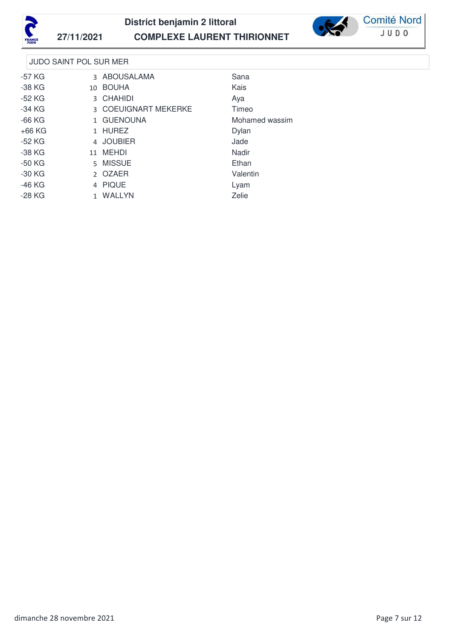



**Comité Nord** JUDO

## JUDO SAINT POL SUR MER

| -57 KG   | 3 ABOUSALAMA         | Sana           |  |
|----------|----------------------|----------------|--|
| -38 KG   | 10 BOUHA             | Kais           |  |
| $-52$ KG | 3 CHAHIDI            | Aya            |  |
| -34 KG   | 3 COEUIGNART MEKERKE | Timeo          |  |
| $-66$ KG | 1 GUENOUNA           | Mohamed wassim |  |
| $+66$ KG | 1 HUREZ              | Dylan          |  |
| -52 KG   | 4 JOUBIER            | Jade           |  |
| -38 KG   | 11 MEHDI             | Nadir          |  |
| $-50$ KG | 5 MISSUE             | Ethan          |  |
| $-30$ KG | 2 OZAER              | Valentin       |  |
| -46 KG   | 4 PIQUE              | Lyam           |  |
| $-28$ KG | 1 WALLYN             | Zelie          |  |
|          |                      |                |  |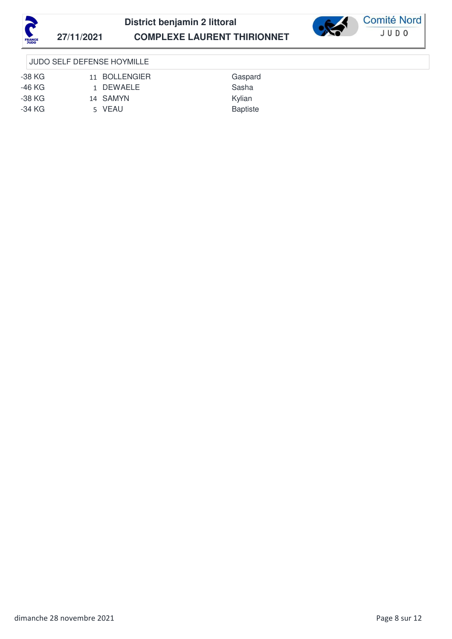



## JUDO SELF DEFENSE HOYMILLE

| -38 KG | 11 BOLLENGIER | Gaspard         |
|--------|---------------|-----------------|
| -46 KG | 1 DEWAELE     | Sasha           |
| -38 KG | 14 SAMYN      | Kvlian          |
| -34 KG | 5 VEAU        | <b>Baptiste</b> |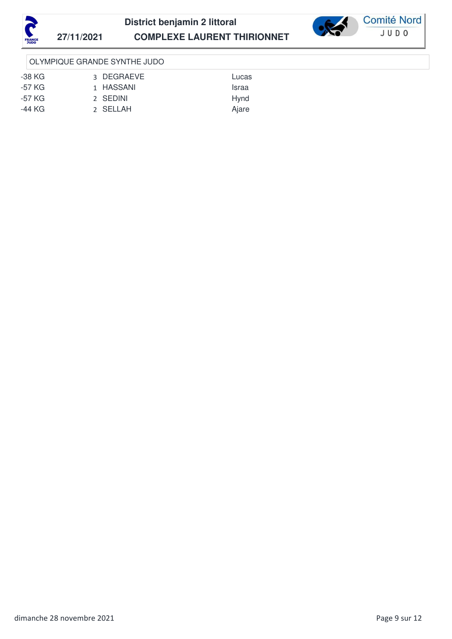





### OLYMPIQUE GRANDE SYNTHE JUDO

-38 KG 3 DEGRAEVE Lucas -57 KG 1 HASSANI 1999 SI 1999 SI 1999 SI 1999 SI 1999 NASA 1999 SI 1999 SI 1999 NASA 1999 SI 1999 SI 1999 199 -57 KG 2 SEDINI 2 Hynd -44 KG 2 SELLAH Ajare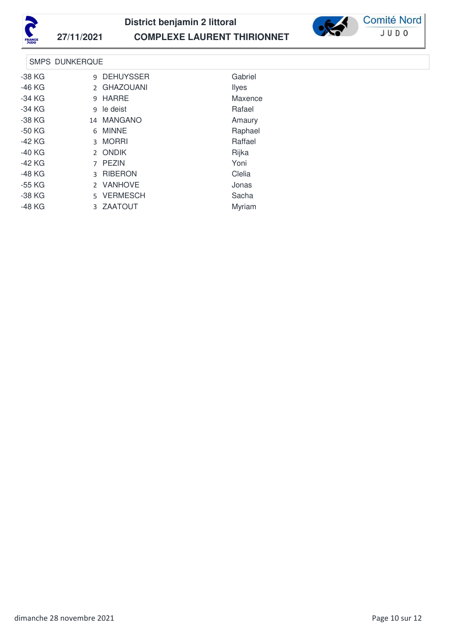



**Comité Nord** JUDO

## SMPS DUNKERQUE

| $-38$ KG | 9 DEHUYSSER | Gabriel      |
|----------|-------------|--------------|
| -46 KG   | 2 GHAZOUANI | <b>Ilyes</b> |
| $-34$ KG | 9 HARRE     | Maxence      |
| $-34$ KG | 9 le deist  | Rafael       |
| $-38$ KG | 14 MANGANO  | Amaury       |
| $-50$ KG | 6 MINNE     | Raphael      |
| -42 KG   | 3 MORRI     | Raffael      |
| $-40$ KG | 2 ONDIK     | Rijka        |
| $-42$ KG | 7 PEZIN     | Yoni         |
| -48 KG   | 3 RIBERON   | Clelia       |
| -55 KG   | 2 VANHOVE   | Jonas        |
| $-38$ KG | 5 VERMESCH  | Sacha        |
| -48 KG   | 3 ZAATOUT   | Myriam       |
|          |             |              |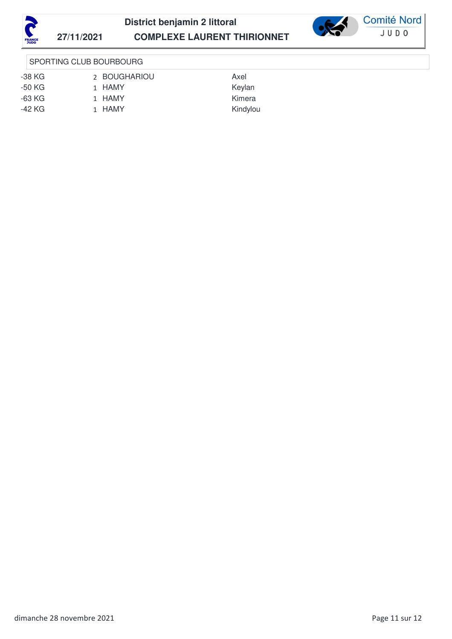



## SPORTING CLUB BOURBOURG

-38 KG 2 BOUGHARIOU Axel -50 KG 1 HAMY Keylan -63 KG 1 HAMY Kimera -42 KG 1 HAMY Kindylou